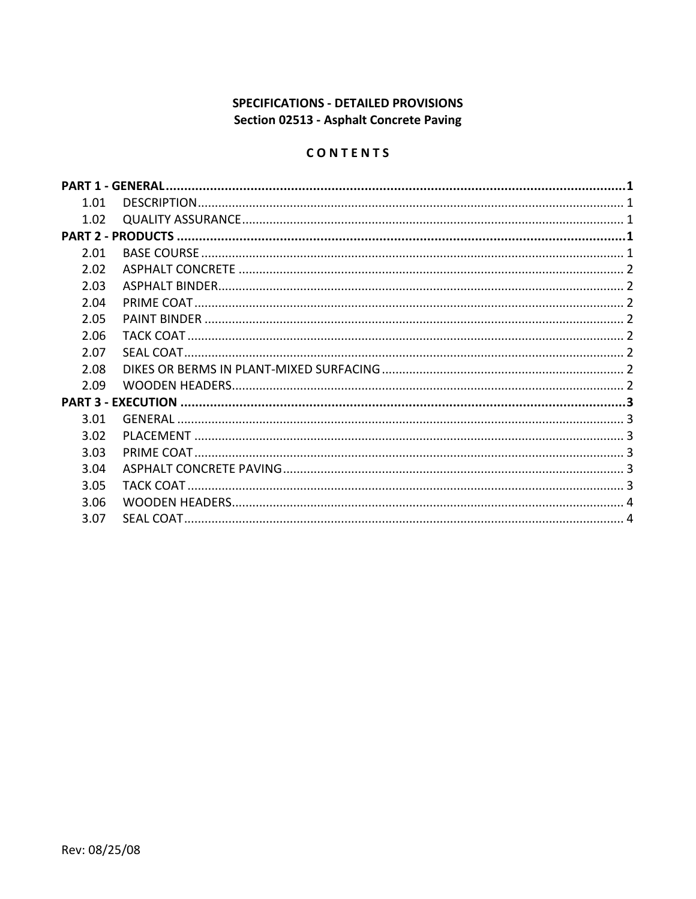# SPECIFICATIONS - DETAILED PROVISIONS Section 02513 - Asphalt Concrete Paving

# CONTENTS

| 1.01 |  |  |
|------|--|--|
| 1.02 |  |  |
|      |  |  |
| 2.01 |  |  |
| 2.02 |  |  |
| 2.03 |  |  |
| 2.04 |  |  |
| 2.05 |  |  |
| 2.06 |  |  |
| 2.07 |  |  |
| 2.08 |  |  |
| 2.09 |  |  |
|      |  |  |
| 3.01 |  |  |
| 3.02 |  |  |
| 3.03 |  |  |
| 3.04 |  |  |
| 3.05 |  |  |
| 3.06 |  |  |
| 3.07 |  |  |
|      |  |  |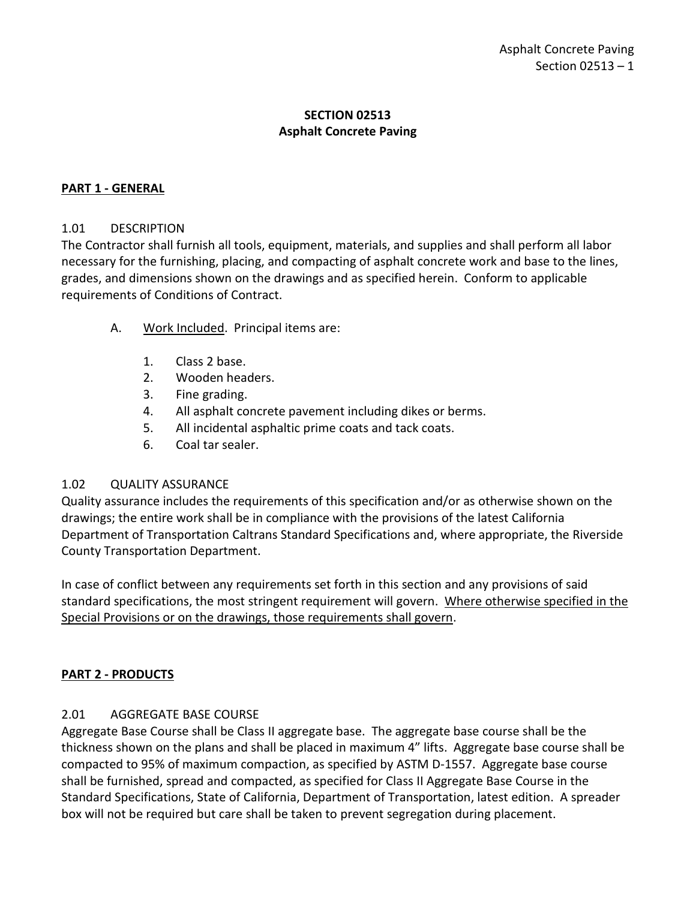# **SECTION 02513 Asphalt Concrete Paving**

# <span id="page-2-0"></span>**PART 1 - GENERAL**

# <span id="page-2-1"></span>1.01 DESCRIPTION

The Contractor shall furnish all tools, equipment, materials, and supplies and shall perform all labor necessary for the furnishing, placing, and compacting of asphalt concrete work and base to the lines, grades, and dimensions shown on the drawings and as specified herein. Conform to applicable requirements of Conditions of Contract.

- A. Work Included. Principal items are:
	- 1. Class 2 base.
	- 2. Wooden headers.
	- 3. Fine grading.
	- 4. All asphalt concrete pavement including dikes or berms.
	- 5. All incidental asphaltic prime coats and tack coats.
	- 6. Coal tar sealer.

#### <span id="page-2-2"></span>1.02 QUALITY ASSURANCE

Quality assurance includes the requirements of this specification and/or as otherwise shown on the drawings; the entire work shall be in compliance with the provisions of the latest California Department of Transportation Caltrans Standard Specifications and, where appropriate, the Riverside County Transportation Department.

In case of conflict between any requirements set forth in this section and any provisions of said standard specifications, the most stringent requirement will govern. Where otherwise specified in the Special Provisions or on the drawings, those requirements shall govern.

#### <span id="page-2-3"></span>**PART 2 - PRODUCTS**

# <span id="page-2-4"></span>2.01 AGGREGATE BASE COURSE

Aggregate Base Course shall be Class II aggregate base. The aggregate base course shall be the thickness shown on the plans and shall be placed in maximum 4" lifts. Aggregate base course shall be compacted to 95% of maximum compaction, as specified by ASTM D-1557. Aggregate base course shall be furnished, spread and compacted, as specified for Class II Aggregate Base Course in the Standard Specifications, State of California, Department of Transportation, latest edition. A spreader box will not be required but care shall be taken to prevent segregation during placement.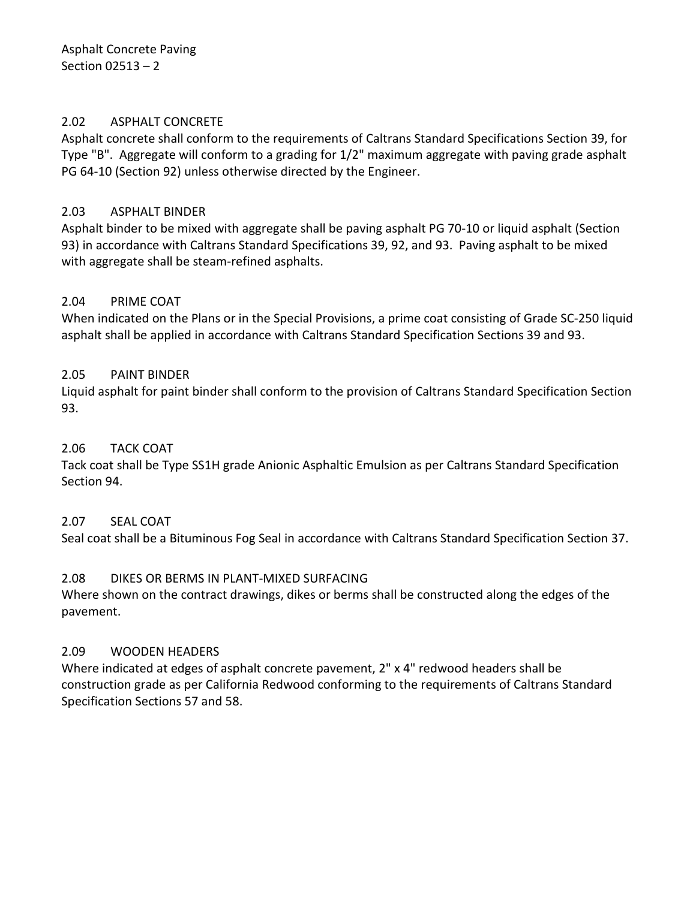Asphalt Concrete Paving Section 02513 – 2

### <span id="page-3-0"></span>2.02 ASPHALT CONCRETE

Asphalt concrete shall conform to the requirements of Caltrans Standard Specifications Section 39, for Type "B". Aggregate will conform to a grading for 1/2" maximum aggregate with paving grade asphalt PG 64-10 (Section 92) unless otherwise directed by the Engineer.

### <span id="page-3-1"></span>2.03 ASPHALT BINDER

Asphalt binder to be mixed with aggregate shall be paving asphalt PG 70-10 or liquid asphalt (Section 93) in accordance with Caltrans Standard Specifications 39, 92, and 93. Paving asphalt to be mixed with aggregate shall be steam-refined asphalts.

### <span id="page-3-2"></span>2.04 PRIME COAT

When indicated on the Plans or in the Special Provisions, a prime coat consisting of Grade SC-250 liquid asphalt shall be applied in accordance with Caltrans Standard Specification Sections 39 and 93.

### <span id="page-3-3"></span>2.05 PAINT BINDER

Liquid asphalt for paint binder shall conform to the provision of Caltrans Standard Specification Section 93.

### <span id="page-3-4"></span>2.06 TACK COAT

Tack coat shall be Type SS1H grade Anionic Asphaltic Emulsion as per Caltrans Standard Specification Section 94.

#### <span id="page-3-5"></span>2.07 SEAL COAT

Seal coat shall be a Bituminous Fog Seal in accordance with Caltrans Standard Specification Section 37.

#### <span id="page-3-6"></span>2.08 DIKES OR BERMS IN PLANT-MIXED SURFACING

Where shown on the contract drawings, dikes or berms shall be constructed along the edges of the pavement.

#### <span id="page-3-7"></span>2.09 WOODEN HEADERS

Where indicated at edges of asphalt concrete pavement, 2" x 4" redwood headers shall be construction grade as per California Redwood conforming to the requirements of Caltrans Standard Specification Sections 57 and 58.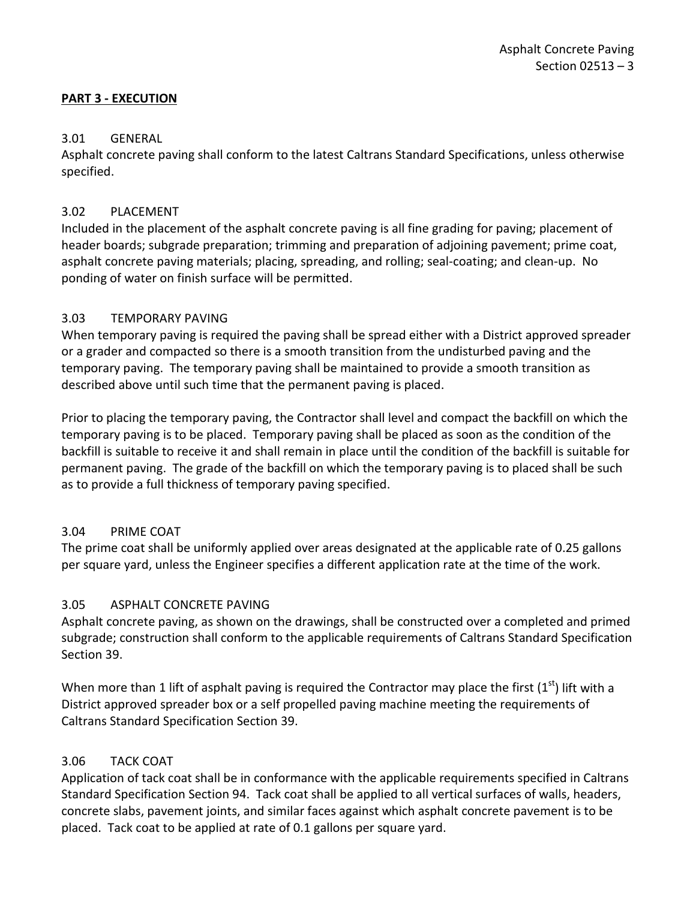# <span id="page-4-0"></span>**PART 3 - EXECUTION**

# <span id="page-4-1"></span>3.01 GENERAL

Asphalt concrete paving shall conform to the latest Caltrans Standard Specifications, unless otherwise specified.

# <span id="page-4-2"></span>3.02 PLACEMENT

Included in the placement of the asphalt concrete paving is all fine grading for paving; placement of header boards; subgrade preparation; trimming and preparation of adjoining pavement; prime coat, asphalt concrete paving materials; placing, spreading, and rolling; seal-coating; and clean-up. No ponding of water on finish surface will be permitted.

### <span id="page-4-3"></span>3.03 TEMPORARY PAVING

When temporary paving is required the paving shall be spread either with a District approved spreader or a grader and compacted so there is a smooth transition from the undisturbed paving and the temporary paving. The temporary paving shall be maintained to provide a smooth transition as described above until such time that the permanent paving is placed.

Prior to placing the temporary paving, the Contractor shall level and compact the backfill on which the temporary paving is to be placed. Temporary paving shall be placed as soon as the condition of the backfill is suitable to receive it and shall remain in place until the condition of the backfill is suitable for permanent paving. The grade of the backfill on which the temporary paving is to placed shall be such as to provide a full thickness of temporary paving specified.

# 3.04 PRIME COAT

The prime coat shall be uniformly applied over areas designated at the applicable rate of 0.25 gallons per square yard, unless the Engineer specifies a different application rate at the time of the work.

# <span id="page-4-4"></span>3.05 ASPHALT CONCRETE PAVING

Asphalt concrete paving, as shown on the drawings, shall be constructed over a completed and primed subgrade; construction shall conform to the applicable requirements of Caltrans Standard Specification Section 39.

When more than 1 lift of asphalt paving is required the Contractor may place the first  $(1<sup>st</sup>)$  lift with a District approved spreader box or a self propelled paving machine meeting the requirements of Caltrans Standard Specification Section 39.

# <span id="page-4-5"></span>3.06 TACK COAT

Application of tack coat shall be in conformance with the applicable requirements specified in Caltrans Standard Specification Section 94. Tack coat shall be applied to all vertical surfaces of walls, headers, concrete slabs, pavement joints, and similar faces against which asphalt concrete pavement is to be placed. Tack coat to be applied at rate of 0.1 gallons per square yard.